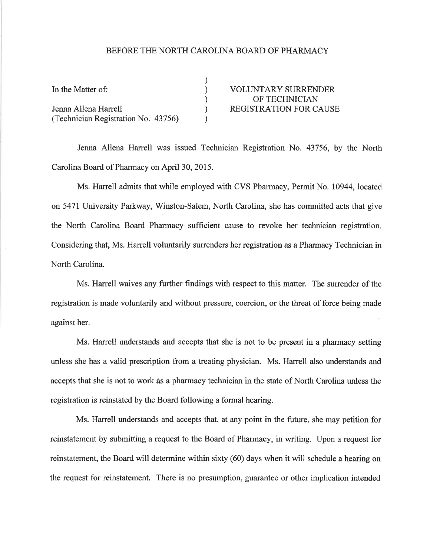## BEFORE THE NORTH CAROLINA BOARD OF PHARMACY

| In the Matter of:                   | <b>VOLUNTARY SURRENDER</b>    |
|-------------------------------------|-------------------------------|
|                                     | OF TECHNICIAN                 |
| Jenna Allena Harrell                | <b>REGISTRATION FOR CAUSE</b> |
| (Technician Registration No. 43756) |                               |

Jenna Allena Harrell was issued Technician Registration No. 43756, by the North Carolina Board of Pharmacy on April 30,2015.

Ms. Harrell admits that while employed with CVS Pharmacy, Permit No. 10944, located on 5471University Parkway, Winston-Salem, North Carolina, she has committed acts that give the North Carolina Board Pharmacy sufficient cause to revoke her technician registration. Considering that, Ms. Harrell voluntarily surrenders her registration as a Pharmacy Technician in North Carolina.

Ms. Harrell waives any further findings with respect to this matter. The surrender of the registration is made voluntarily and without pressure, coercion, or the threat of force being made against her.

Ms. Harrell understands and accepts that she is not to be present in a pharmacy setting unless she has a valid prescription from a treating physician. Ms. Harrell also understands and accepts that she is not to work as a pharmacy technician in the state of North Carolina unless the registration is reinstated by the Board following a formal hearing.

Ms. Harrell understands and accepts that, at any point in the future, she may petition for reinstatement by submitting a request to the Board of Pharmacy, in writing. Upon a request for reinstatement, the Board will determine within sixty (60) days when it will schedule a hearing on the request for reinstatement. There is no presumption, guarantee or other implication intended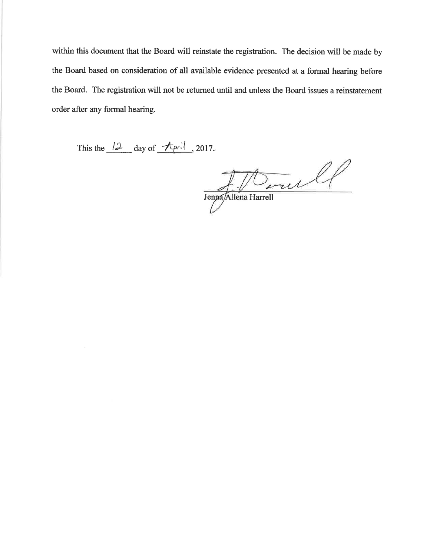within this document that the Board will reinstate the registration. The decision will be made by the Board based on consideration of all available evidence presented at a formal hearing before the Board. The registration will not be returned until and unless the Board issues a reinstatement order after any formal hearing.

This the  $\frac{12}{2}$  day of  $\frac{4}{5}$  2017.

 $J_{\text{Jenpa/Allena Harrell}}$